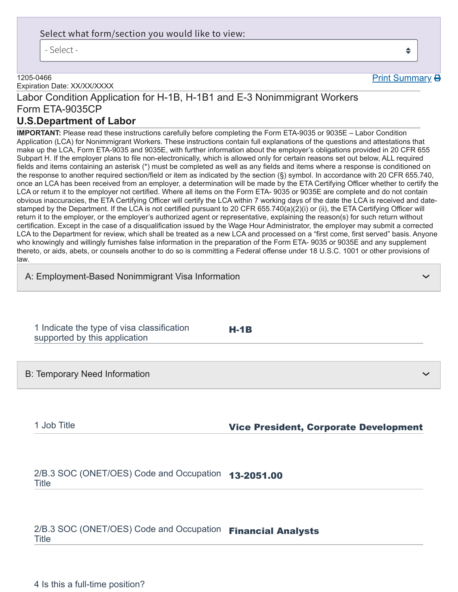## Select what form/section you would like to view:

- Select -

#### 1205-0466

Expiration Date: XX/XX/XXXX

# Labor Condition Application for H-1B, H-1B1 and E-3 Nonimmigrant Workers Form ETA-9035CP

## **U.S.Department of Labor**

**IMPORTANT:** Please read these instructions carefully before completing the Form ETA-9035 or 9035E – Labor Condition Application (LCA) for Nonimmigrant Workers. These instructions contain full explanations of the questions and attestations that make up the LCA, Form ETA-9035 and 9035E, with further information about the employer's obligations provided in 20 CFR 655 Subpart H. If the employer plans to file non-electronically, which is allowed only for certain reasons set out below, ALL required fields and items containing an asterisk (\*) must be completed as well as any fields and items where a response is conditioned on the response to another required section/field or item as indicated by the section (§) symbol. In accordance with 20 CFR 655.740, once an LCA has been received from an employer, a determination will be made by the ETA Certifying Officer whether to certify the LCA or return it to the employer not certified. Where all items on the Form ETA- 9035 or 9035E are complete and do not contain obvious inaccuracies, the ETA Certifying Officer will certify the LCA within 7 working days of the date the LCA is received and datestamped by the Department. If the LCA is not certified pursuant to 20 CFR 655.740(a)(2)(i) or (ii), the ETA Certifying Officer will return it to the employer, or the employer's authorized agent or representative, explaining the reason(s) for such return without certification. Except in the case of a disqualification issued by the Wage Hour Administrator, the employer may submit a corrected LCA to the Department for review, which shall be treated as a new LCA and processed on a "first come, first served" basis. Anyone who knowingly and willingly furnishes false information in the preparation of the Form ETA- 9035 or 9035E and any supplement thereto, or aids, abets, or counsels another to do so is committing a Federal offense under 18 U.S.C. 1001 or other provisions of law.

H-1B

| A: Employment-Based Nonimmigrant Visa Information |  |  |
|---------------------------------------------------|--|--|
|                                                   |  |  |

1 Indicate the type of visa classification supported by this application

B: Temporary Need Information

## 1 Job Title **Vice President, Corporate Development**

2/B.3 SOC (ONET/OES) Code and Occupation **13-2051.00**<br>— Title

2/B.3 SOC (ONET/OES) Code and Occupation Financial Analysts **Title** 

4 Is this a full-time position?

 $\triangleq$ 

Print Summary **B** 

❯

❯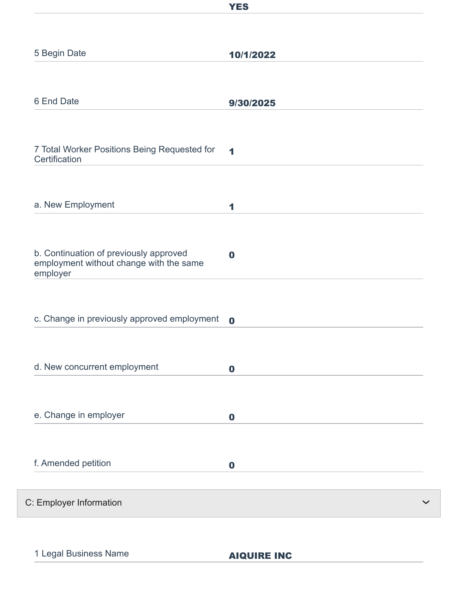|                                                                                               | <b>YES</b>  |
|-----------------------------------------------------------------------------------------------|-------------|
|                                                                                               |             |
| 5 Begin Date                                                                                  | 10/1/2022   |
|                                                                                               |             |
| 6 End Date                                                                                    | 9/30/2025   |
|                                                                                               |             |
| 7 Total Worker Positions Being Requested for<br>Certification                                 | 1           |
|                                                                                               |             |
| a. New Employment                                                                             | 1           |
|                                                                                               |             |
| b. Continuation of previously approved<br>employment without change with the same<br>employer | $\bf{0}$    |
|                                                                                               |             |
| c. Change in previously approved employment                                                   | $\mathbf 0$ |
|                                                                                               |             |
| d. New concurrent employment                                                                  | $\mathbf 0$ |
|                                                                                               |             |
| e. Change in employer                                                                         | $\mathbf 0$ |
|                                                                                               |             |
| f. Amended petition                                                                           | $\bf{0}$    |
|                                                                                               |             |
| C: Employer Information                                                                       |             |

1 Legal Business Name **AIQUIRE INC** 

 $\checkmark$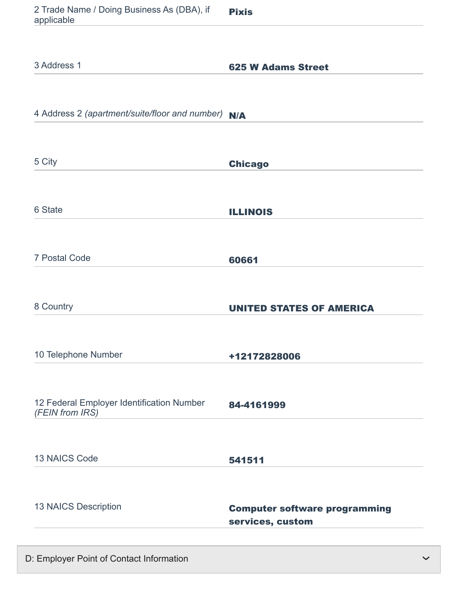| 2 Trade Name / Doing Business As (DBA), if<br>applicable     | <b>Pixis</b>                                             |
|--------------------------------------------------------------|----------------------------------------------------------|
|                                                              |                                                          |
| 3 Address 1                                                  | <b>625 W Adams Street</b>                                |
|                                                              |                                                          |
| 4 Address 2 (apartment/suite/floor and number) N/A           |                                                          |
|                                                              |                                                          |
| 5 City                                                       | <b>Chicago</b>                                           |
|                                                              |                                                          |
| 6 State                                                      | <b>ILLINOIS</b>                                          |
| <b>7 Postal Code</b>                                         | 60661                                                    |
|                                                              |                                                          |
| 8 Country                                                    | <b>UNITED STATES OF AMERICA</b>                          |
|                                                              |                                                          |
| 10 Telephone Number                                          | +12172828006                                             |
|                                                              |                                                          |
| 12 Federal Employer Identification Number<br>(FEIN from IRS) | 84-4161999                                               |
|                                                              |                                                          |
| 13 NAICS Code                                                | 541511                                                   |
|                                                              |                                                          |
| 13 NAICS Description                                         | <b>Computer software programming</b><br>services, custom |
|                                                              |                                                          |

D: Employer Point of Contact Information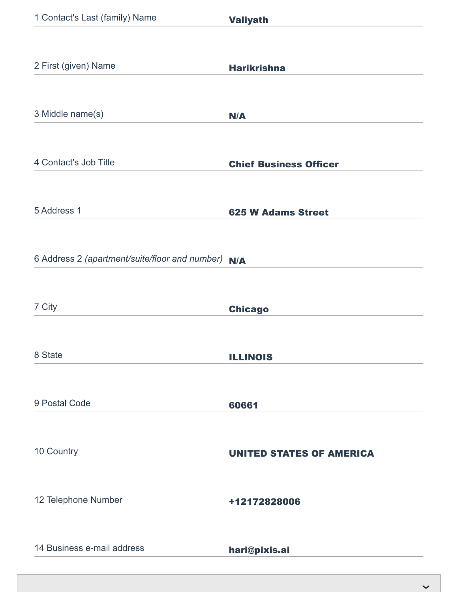| 1 Contact's Last (family) Name                 | <b>Valiyath</b>                 |
|------------------------------------------------|---------------------------------|
|                                                |                                 |
| 2 First (given) Name                           | <b>Harikrishna</b>              |
|                                                |                                 |
| 3 Middle name(s)                               | N/A                             |
|                                                |                                 |
| 4 Contact's Job Title                          | <b>Chief Business Officer</b>   |
|                                                |                                 |
| 5 Address 1                                    | <b>625 W Adams Street</b>       |
|                                                |                                 |
| 6 Address 2 (apartment/suite/floor and number) | N/A                             |
|                                                |                                 |
| 7 City                                         | <b>Chicago</b>                  |
| 8 State                                        |                                 |
|                                                | <b>ILLINOIS</b>                 |
| 9 Postal Code                                  | 60661                           |
|                                                |                                 |
| 10 Country                                     | <b>UNITED STATES OF AMERICA</b> |
|                                                |                                 |
| 12 Telephone Number                            | +12172828006                    |
|                                                |                                 |
| 14 Business e-mail address                     | hari@pixis.ai                   |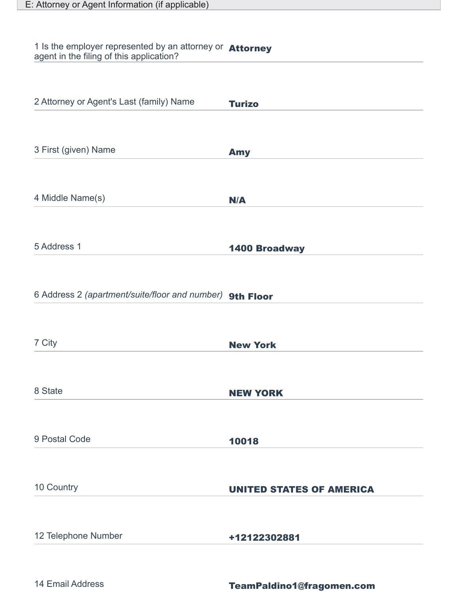#### 1 Is the employer represented by an attorney or agent in the filing of this application? Attorney

| 2 Attorney or Agent's Last (family) Name                 | <b>Turizo</b>                   |
|----------------------------------------------------------|---------------------------------|
| 3 First (given) Name                                     | <b>Amy</b>                      |
| 4 Middle Name(s)                                         | N/A                             |
| 5 Address 1                                              | <b>1400 Broadway</b>            |
| 6 Address 2 (apartment/suite/floor and number) 9th Floor |                                 |
| 7 City                                                   | <b>New York</b>                 |
| 8 State                                                  | <b>NEW YORK</b>                 |
| 9 Postal Code                                            | 10018                           |
| 10 Country                                               | <b>UNITED STATES OF AMERICA</b> |
| 12 Telephone Number                                      | +12122302881                    |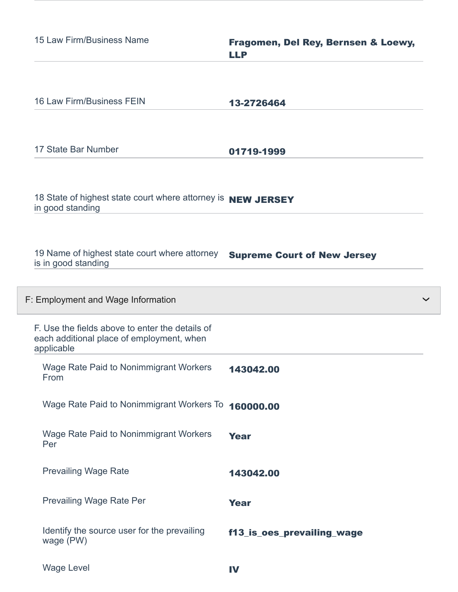| 15 Law Firm/Business Name                                                                                  | Fragomen, Del Rey, Bernsen & Loewy,<br><b>LLP</b> |
|------------------------------------------------------------------------------------------------------------|---------------------------------------------------|
| 16 Law Firm/Business FEIN                                                                                  | 13-2726464                                        |
| 17 State Bar Number                                                                                        | 01719-1999                                        |
| 18 State of highest state court where attorney is NEW JERSEY<br>in good standing                           |                                                   |
| 19 Name of highest state court where attorney<br>is in good standing                                       | <b>Supreme Court of New Jersey</b>                |
| F: Employment and Wage Information                                                                         |                                                   |
| F. Use the fields above to enter the details of<br>each additional place of employment, when<br>applicable |                                                   |
| Wage Rate Paid to Nonimmigrant Workers<br>From                                                             | 143042.00                                         |
| Wage Rate Paid to Nonimmigrant Workers To 160000.00                                                        |                                                   |
| <b>Wage Rate Paid to Nonimmigrant Workers</b><br>Per                                                       | <b>Year</b>                                       |
| <b>Prevailing Wage Rate</b>                                                                                | 143042.00                                         |
| <b>Prevailing Wage Rate Per</b>                                                                            | <b>Year</b>                                       |
| Identify the source user for the prevailing<br>wage (PW)                                                   | f13_is_oes_prevailing_wage                        |
| <b>Wage Level</b>                                                                                          | IV                                                |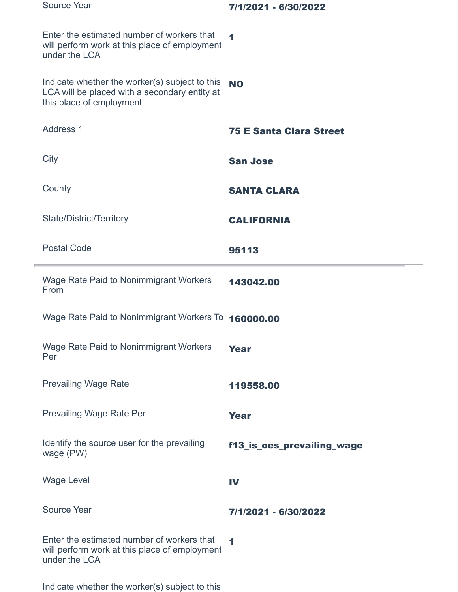| <b>Source Year</b>                                                                                                          | 7/1/2021 - 6/30/2022           |
|-----------------------------------------------------------------------------------------------------------------------------|--------------------------------|
| Enter the estimated number of workers that<br>will perform work at this place of employment<br>under the LCA                | $\blacktriangleleft$           |
| Indicate whether the worker(s) subject to this<br>LCA will be placed with a secondary entity at<br>this place of employment | <b>NO</b>                      |
| <b>Address 1</b>                                                                                                            | <b>75 E Santa Clara Street</b> |
| City                                                                                                                        | <b>San Jose</b>                |
| County                                                                                                                      | <b>SANTA CLARA</b>             |
| State/District/Territory                                                                                                    | <b>CALIFORNIA</b>              |
| <b>Postal Code</b>                                                                                                          | 95113                          |
| Wage Rate Paid to Nonimmigrant Workers<br>From                                                                              | 143042.00                      |
| Wage Rate Paid to Nonimmigrant Workers To 160000.00                                                                         |                                |
| Wage Rate Paid to Nonimmigrant Workers<br>Per                                                                               | <b>Year</b>                    |
| <b>Prevailing Wage Rate</b>                                                                                                 | 119558.00                      |
| Prevailing Wage Rate Per                                                                                                    | <b>Year</b>                    |
| Identify the source user for the prevailing<br>wage (PW)                                                                    | f13_is_oes_prevailing_wage     |
| <b>Wage Level</b>                                                                                                           | IV                             |
| <b>Source Year</b>                                                                                                          | 7/1/2021 - 6/30/2022           |
| Enter the estimated number of workers that<br>will perform work at this place of employment<br>under the LCA                | $\blacktriangleleft$           |

Indicate whether the worker(s) subject to this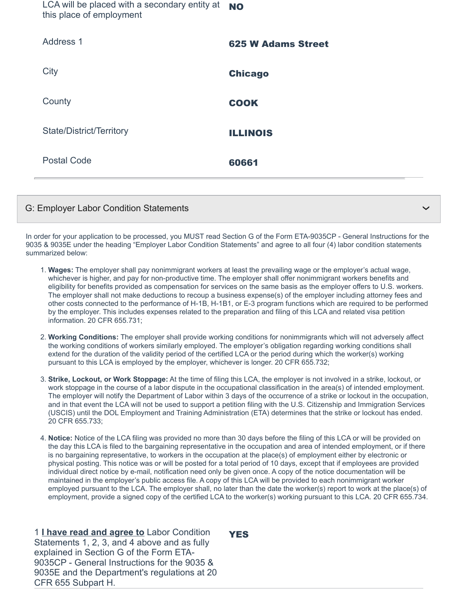LCA will be placed with a secondary entity at this place of employment NO

| Address 1                | <b>625 W Adams Street</b> |
|--------------------------|---------------------------|
| City                     | <b>Chicago</b>            |
| County                   | <b>COOK</b>               |
| State/District/Territory | <b>ILLINOIS</b>           |
| <b>Postal Code</b>       | 60661                     |
|                          |                           |

## G: Employer Labor Condition Statements

In order for your application to be processed, you MUST read Section G of the Form ETA-9035CP - General Instructions for the 9035 & 9035E under the heading "Employer Labor Condition Statements" and agree to all four (4) labor condition statements summarized below:

❯

- 1. **Wages:** The employer shall pay nonimmigrant workers at least the prevailing wage or the employer's actual wage, whichever is higher, and pay for non-productive time. The employer shall offer nonimmigrant workers benefits and eligibility for benefits provided as compensation for services on the same basis as the employer offers to U.S. workers. The employer shall not make deductions to recoup a business expense(s) of the employer including attorney fees and other costs connected to the performance of H-1B, H-1B1, or E-3 program functions which are required to be performed by the employer. This includes expenses related to the preparation and filing of this LCA and related visa petition information. 20 CFR 655.731;
- 2. **Working Conditions:** The employer shall provide working conditions for nonimmigrants which will not adversely affect the working conditions of workers similarly employed. The employer's obligation regarding working conditions shall extend for the duration of the validity period of the certified LCA or the period during which the worker(s) working pursuant to this LCA is employed by the employer, whichever is longer. 20 CFR 655.732;
- 3. **Strike, Lockout, or Work Stoppage:** At the time of filing this LCA, the employer is not involved in a strike, lockout, or work stoppage in the course of a labor dispute in the occupational classification in the area(s) of intended employment. The employer will notify the Department of Labor within 3 days of the occurrence of a strike or lockout in the occupation, and in that event the LCA will not be used to support a petition filing with the U.S. Citizenship and Immigration Services (USCIS) until the DOL Employment and Training Administration (ETA) determines that the strike or lockout has ended. 20 CFR 655.733;
- 4. **Notice:** Notice of the LCA filing was provided no more than 30 days before the filing of this LCA or will be provided on the day this LCA is filed to the bargaining representative in the occupation and area of intended employment, or if there is no bargaining representative, to workers in the occupation at the place(s) of employment either by electronic or physical posting. This notice was or will be posted for a total period of 10 days, except that if employees are provided individual direct notice by e-mail, notification need only be given once. A copy of the notice documentation will be maintained in the employer's public access file. A copy of this LCA will be provided to each nonimmigrant worker employed pursuant to the LCA. The employer shall, no later than the date the worker(s) report to work at the place(s) of employment, provide a signed copy of the certified LCA to the worker(s) working pursuant to this LCA. 20 CFR 655.734.

1 **I have read and agree to** Labor Condition Statements 1, 2, 3, and 4 above and as fully explained in Section G of the Form ETA-9035CP - General Instructions for the 9035 & 9035E and the Department's regulations at 20 CFR 655 Subpart H.

YES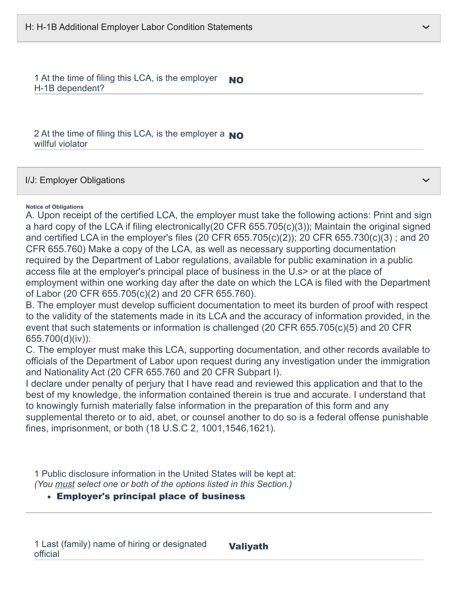1 At the time of filing this LCA, is the employer H-1B dependent? NO

2 At the time of filing this LCA, is the employer a  $_{\rm NO}$ willful violator

I/J: Employer Obligations

#### **Notice of Obligations**

A. Upon receipt of the certified LCA, the employer must take the following actions: Print and sign a hard copy of the LCA if filing electronically(20 CFR 655.705(c)(3)); Maintain the original signed and certified LCA in the employer's files (20 CFR 655.705(c)(2)); 20 CFR 655.730(c)(3) ; and 20 CFR 655.760) Make a copy of the LCA, as well as necessary supporting documentation required by the Department of Labor regulations, available for public examination in a public access file at the employer's principal place of business in the U.s> or at the place of employment within one working day after the date on which the LCA is filed with the Department of Labor (20 CFR 655.705(c)(2) and 20 CFR 655.760).

B. The employer must develop sufficient documentation to meet its burden of proof with respect to the validity of the statements made in its LCA and the accuracy of information provided, in the event that such statements or information is challenged (20 CFR 655.705(c)(5) and 20 CFR 655.700(d)(iv)).

C. The employer must make this LCA, supporting documentation, and other records available to officials of the Department of Labor upon request during any investigation under the immigration and Nationality Act (20 CFR 655.760 and 20 CFR Subpart I).

I declare under penalty of perjury that I have read and reviewed this application and that to the best of my knowledge, the information contained therein is true and accurate. I understand that to knowingly furnish materially false information in the preparation of this form and any supplemental thereto or to aid, abet, or counsel another to do so is a federal offense punishable fines, imprisonment, or both (18 U.S.C 2, 1001,1546,1621).

1 Public disclosure information in the United States will be kept at: *(You must select one or both of the options listed in this Section.)*

### Employer's principal place of business

❯